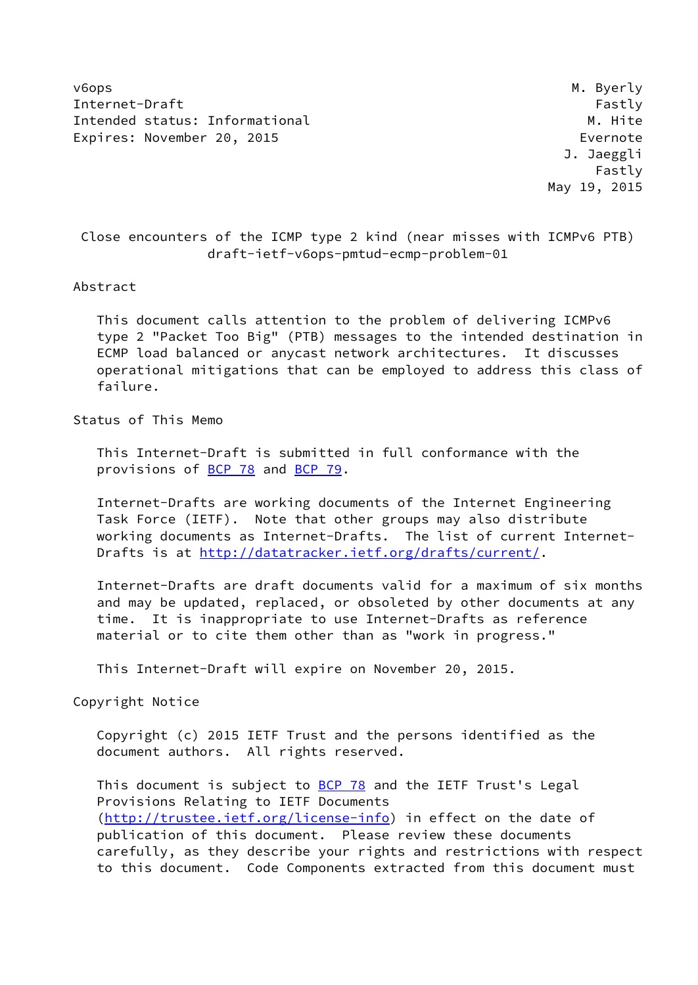v6ops M. Byerly Internet-Draft Fastly Fastly Intended status: Informational M. Hite Expires: November 20, 2015 **Expires: November 20, 2015** 

 J. Jaeggli Fastly May 19, 2015

 Close encounters of the ICMP type 2 kind (near misses with ICMPv6 PTB) draft-ietf-v6ops-pmtud-ecmp-problem-01

#### Abstract

 This document calls attention to the problem of delivering ICMPv6 type 2 "Packet Too Big" (PTB) messages to the intended destination in ECMP load balanced or anycast network architectures. It discusses operational mitigations that can be employed to address this class of failure.

Status of This Memo

 This Internet-Draft is submitted in full conformance with the provisions of **BCP 78** and **BCP 79**.

 Internet-Drafts are working documents of the Internet Engineering Task Force (IETF). Note that other groups may also distribute working documents as Internet-Drafts. The list of current Internet Drafts is at<http://datatracker.ietf.org/drafts/current/>.

 Internet-Drafts are draft documents valid for a maximum of six months and may be updated, replaced, or obsoleted by other documents at any time. It is inappropriate to use Internet-Drafts as reference material or to cite them other than as "work in progress."

This Internet-Draft will expire on November 20, 2015.

Copyright Notice

 Copyright (c) 2015 IETF Trust and the persons identified as the document authors. All rights reserved.

This document is subject to **[BCP 78](https://datatracker.ietf.org/doc/pdf/bcp78)** and the IETF Trust's Legal Provisions Relating to IETF Documents [\(http://trustee.ietf.org/license-info](http://trustee.ietf.org/license-info)) in effect on the date of publication of this document. Please review these documents carefully, as they describe your rights and restrictions with respect to this document. Code Components extracted from this document must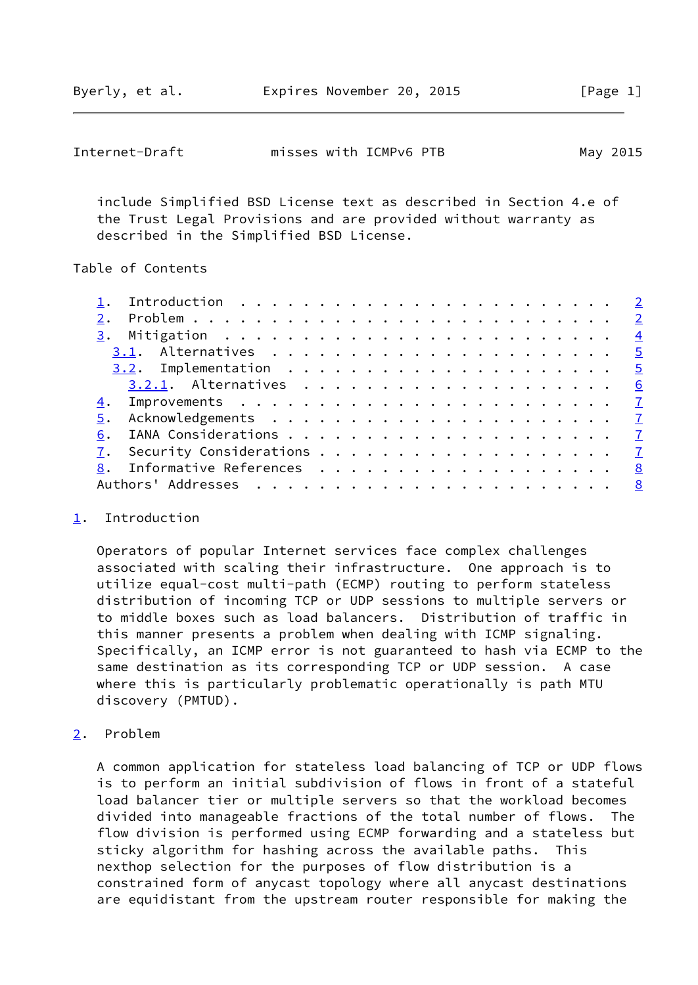<span id="page-1-1"></span>

| Internet-Draft | misses with ICMPv6 PTB | May 2015 |
|----------------|------------------------|----------|
|----------------|------------------------|----------|

 include Simplified BSD License text as described in Section 4.e of the Trust Legal Provisions and are provided without warranty as described in the Simplified BSD License.

### Table of Contents

| 6.                          |  |
|-----------------------------|--|
|                             |  |
| 8. Informative References 8 |  |
|                             |  |
|                             |  |

### <span id="page-1-0"></span>[1](#page-1-0). Introduction

 Operators of popular Internet services face complex challenges associated with scaling their infrastructure. One approach is to utilize equal-cost multi-path (ECMP) routing to perform stateless distribution of incoming TCP or UDP sessions to multiple servers or to middle boxes such as load balancers. Distribution of traffic in this manner presents a problem when dealing with ICMP signaling. Specifically, an ICMP error is not guaranteed to hash via ECMP to the same destination as its corresponding TCP or UDP session. A case where this is particularly problematic operationally is path MTU discovery (PMTUD).

## <span id="page-1-2"></span>[2](#page-1-2). Problem

 A common application for stateless load balancing of TCP or UDP flows is to perform an initial subdivision of flows in front of a stateful load balancer tier or multiple servers so that the workload becomes divided into manageable fractions of the total number of flows. The flow division is performed using ECMP forwarding and a stateless but sticky algorithm for hashing across the available paths. This nexthop selection for the purposes of flow distribution is a constrained form of anycast topology where all anycast destinations are equidistant from the upstream router responsible for making the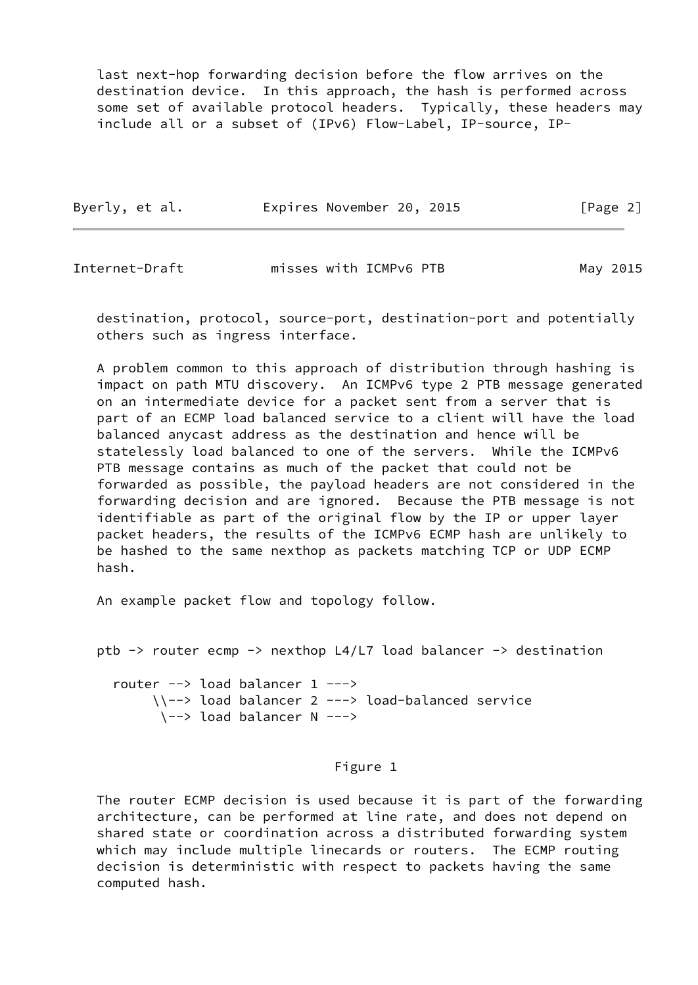last next-hop forwarding decision before the flow arrives on the destination device. In this approach, the hash is performed across some set of available protocol headers. Typically, these headers may include all or a subset of (IPv6) Flow-Label, IP-source, IP-

| Byerly, et al. | Expires November 20, 2015 | [Page 2] |
|----------------|---------------------------|----------|
|                |                           |          |

Internet-Draft misses with ICMPv6 PTB May 2015

 destination, protocol, source-port, destination-port and potentially others such as ingress interface.

 A problem common to this approach of distribution through hashing is impact on path MTU discovery. An ICMPv6 type 2 PTB message generated on an intermediate device for a packet sent from a server that is part of an ECMP load balanced service to a client will have the load balanced anycast address as the destination and hence will be statelessly load balanced to one of the servers. While the ICMPv6 PTB message contains as much of the packet that could not be forwarded as possible, the payload headers are not considered in the forwarding decision and are ignored. Because the PTB message is not identifiable as part of the original flow by the IP or upper layer packet headers, the results of the ICMPv6 ECMP hash are unlikely to be hashed to the same nexthop as packets matching TCP or UDP ECMP hash.

An example packet flow and topology follow.

```
 ptb -> router ecmp -> nexthop L4/L7 load balancer -> destination
```
 router --> load balancer 1 ---> \\--> load balancer 2 ---> load-balanced service \--> load balancer N --->

# Figure 1

 The router ECMP decision is used because it is part of the forwarding architecture, can be performed at line rate, and does not depend on shared state or coordination across a distributed forwarding system which may include multiple linecards or routers. The ECMP routing decision is deterministic with respect to packets having the same computed hash.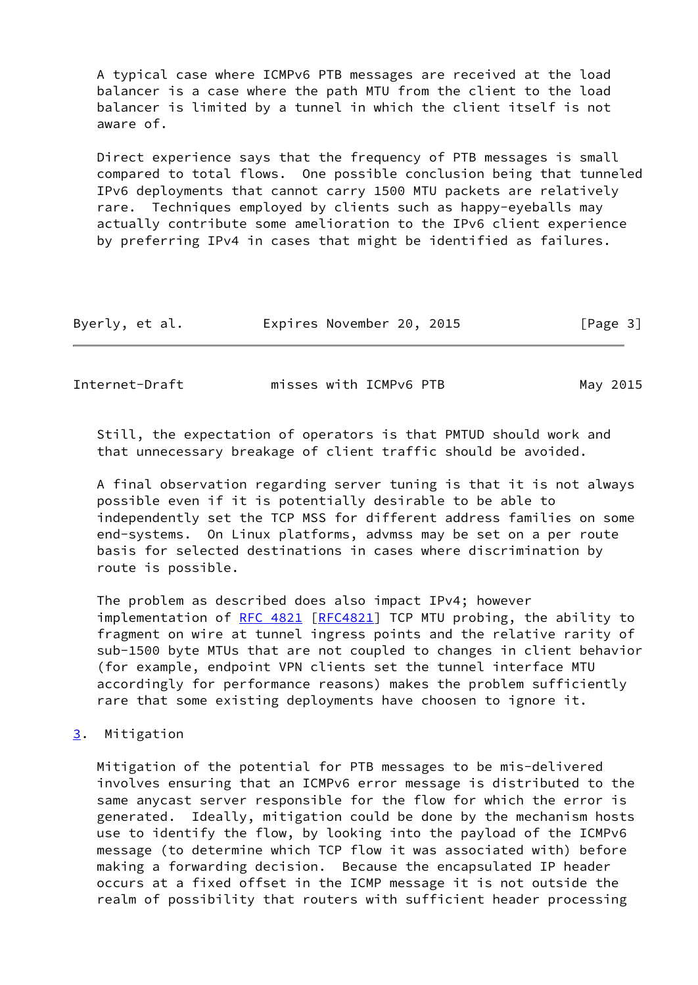A typical case where ICMPv6 PTB messages are received at the load balancer is a case where the path MTU from the client to the load balancer is limited by a tunnel in which the client itself is not aware of.

 Direct experience says that the frequency of PTB messages is small compared to total flows. One possible conclusion being that tunneled IPv6 deployments that cannot carry 1500 MTU packets are relatively rare. Techniques employed by clients such as happy-eyeballs may actually contribute some amelioration to the IPv6 client experience by preferring IPv4 in cases that might be identified as failures.

| Byerly, et al. | Expires November 20, 2015 |  | [Page 3] |
|----------------|---------------------------|--|----------|
|----------------|---------------------------|--|----------|

<span id="page-3-1"></span>Internet-Draft misses with ICMPv6 PTB May 2015

 Still, the expectation of operators is that PMTUD should work and that unnecessary breakage of client traffic should be avoided.

 A final observation regarding server tuning is that it is not always possible even if it is potentially desirable to be able to independently set the TCP MSS for different address families on some end-systems. On Linux platforms, advmss may be set on a per route basis for selected destinations in cases where discrimination by route is possible.

 The problem as described does also impact IPv4; however implementation of [RFC 4821](https://datatracker.ietf.org/doc/pdf/rfc4821) [[RFC4821\]](https://datatracker.ietf.org/doc/pdf/rfc4821) TCP MTU probing, the ability to fragment on wire at tunnel ingress points and the relative rarity of sub-1500 byte MTUs that are not coupled to changes in client behavior (for example, endpoint VPN clients set the tunnel interface MTU accordingly for performance reasons) makes the problem sufficiently rare that some existing deployments have choosen to ignore it.

<span id="page-3-0"></span>[3](#page-3-0). Mitigation

 Mitigation of the potential for PTB messages to be mis-delivered involves ensuring that an ICMPv6 error message is distributed to the same anycast server responsible for the flow for which the error is generated. Ideally, mitigation could be done by the mechanism hosts use to identify the flow, by looking into the payload of the ICMPv6 message (to determine which TCP flow it was associated with) before making a forwarding decision. Because the encapsulated IP header occurs at a fixed offset in the ICMP message it is not outside the realm of possibility that routers with sufficient header processing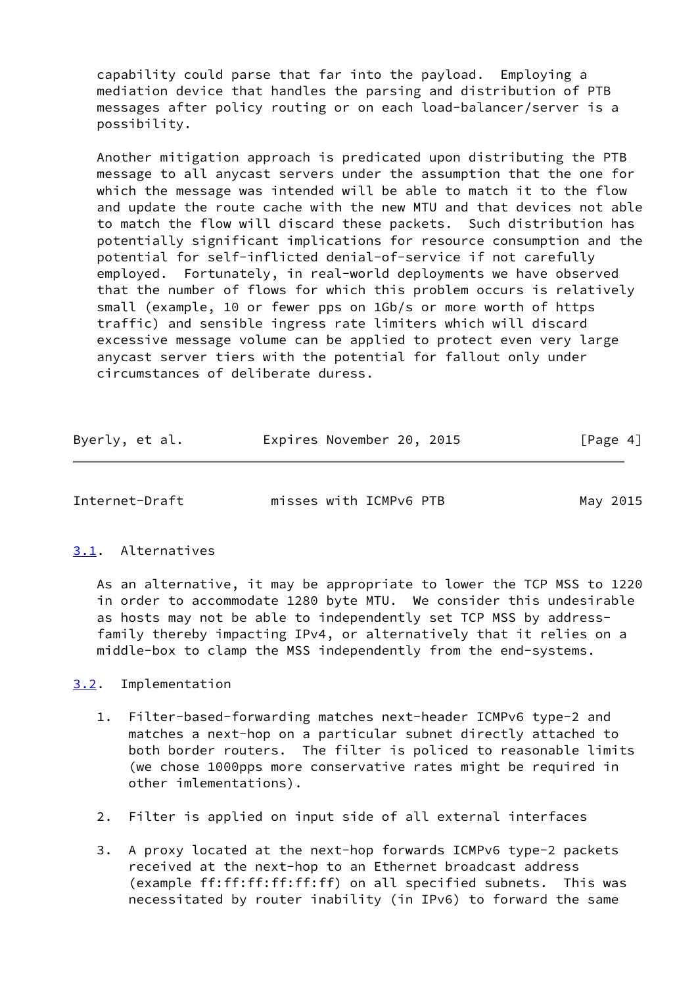capability could parse that far into the payload. Employing a mediation device that handles the parsing and distribution of PTB messages after policy routing or on each load-balancer/server is a possibility.

 Another mitigation approach is predicated upon distributing the PTB message to all anycast servers under the assumption that the one for which the message was intended will be able to match it to the flow and update the route cache with the new MTU and that devices not able to match the flow will discard these packets. Such distribution has potentially significant implications for resource consumption and the potential for self-inflicted denial-of-service if not carefully employed. Fortunately, in real-world deployments we have observed that the number of flows for which this problem occurs is relatively small (example, 10 or fewer pps on 1Gb/s or more worth of https traffic) and sensible ingress rate limiters which will discard excessive message volume can be applied to protect even very large anycast server tiers with the potential for fallout only under circumstances of deliberate duress.

| Byerly, et al. | Expires November 20, 2015 | [Page 4] |
|----------------|---------------------------|----------|
|----------------|---------------------------|----------|

<span id="page-4-1"></span>Internet-Draft misses with ICMPv6 PTB May 2015

## <span id="page-4-0"></span>[3.1](#page-4-0). Alternatives

 As an alternative, it may be appropriate to lower the TCP MSS to 1220 in order to accommodate 1280 byte MTU. We consider this undesirable as hosts may not be able to independently set TCP MSS by address family thereby impacting IPv4, or alternatively that it relies on a middle-box to clamp the MSS independently from the end-systems.

<span id="page-4-2"></span>[3.2](#page-4-2). Implementation

- 1. Filter-based-forwarding matches next-header ICMPv6 type-2 and matches a next-hop on a particular subnet directly attached to both border routers. The filter is policed to reasonable limits (we chose 1000pps more conservative rates might be required in other imlementations).
- 2. Filter is applied on input side of all external interfaces
- 3. A proxy located at the next-hop forwards ICMPv6 type-2 packets received at the next-hop to an Ethernet broadcast address (example ff:ff:ff:ff:ff:ff) on all specified subnets. This was necessitated by router inability (in IPv6) to forward the same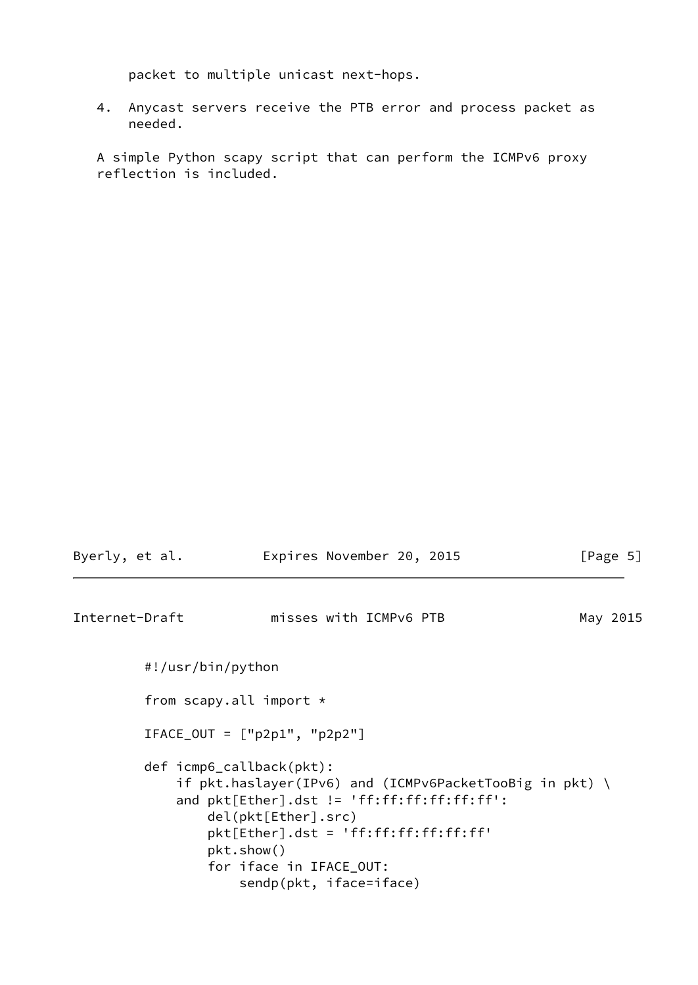packet to multiple unicast next-hops.

 4. Anycast servers receive the PTB error and process packet as needed.

 A simple Python scapy script that can perform the ICMPv6 proxy reflection is included.

<span id="page-5-0"></span>

| Byerly, et al. | Expires November 20, 2015                                                                                                                                                                                                                                                   | [Page 5] |
|----------------|-----------------------------------------------------------------------------------------------------------------------------------------------------------------------------------------------------------------------------------------------------------------------------|----------|
| Internet-Draft | misses with ICMPv6 PTB                                                                                                                                                                                                                                                      | May 2015 |
|                | #!/usr/bin/python                                                                                                                                                                                                                                                           |          |
|                | from scapy.all import $\star$                                                                                                                                                                                                                                               |          |
|                | $IFACE_OUT = ['p2p1", "p2p2"]$                                                                                                                                                                                                                                              |          |
|                | $def$ icmp6_callback(pkt):<br>if $pk$ .haslayer(IPv6) and (ICMPv6PacketTooBig in $pk$ ) \<br>and $plt[Ether].dst != 'ff:ff:ff:ff:ff':$<br>del(pkt[Ether].src)<br>$plt[Ether].dst = 'ff:ff:ff:ff:ff;ff'$<br>pkt.show()<br>for iface in IFACE_OUT:<br>sendp(pkt, iface=iface) |          |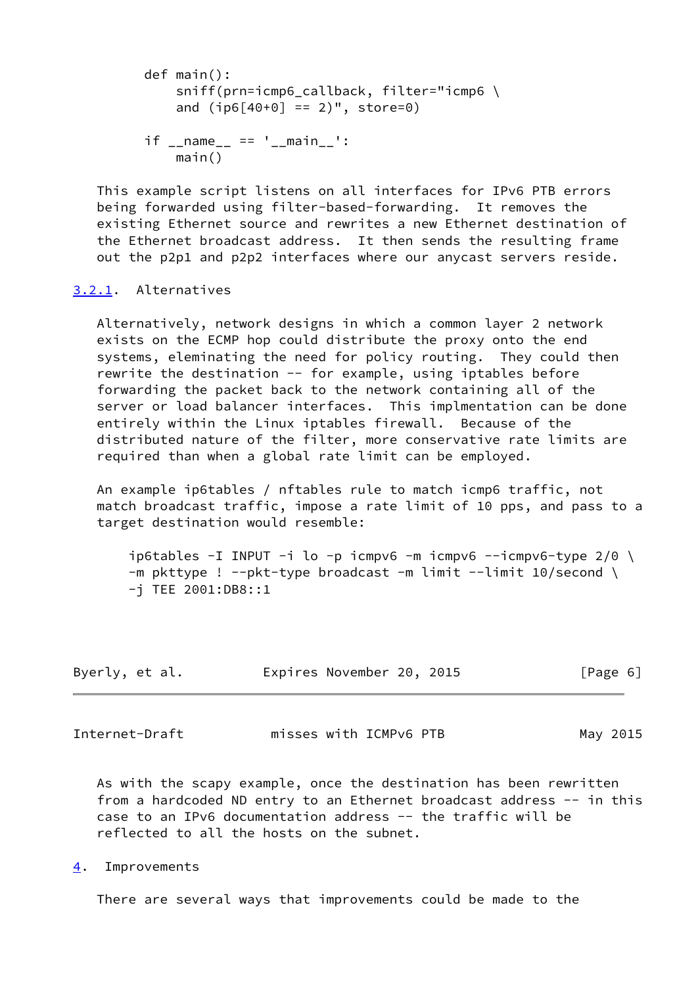```
 def main():
     sniff(prn=icmp6_callback, filter="icmp6 \
    and (i p6[40+0] == 2)", store=0)
if __name__ == ' __main__':
     main()
```
 This example script listens on all interfaces for IPv6 PTB errors being forwarded using filter-based-forwarding. It removes the existing Ethernet source and rewrites a new Ethernet destination of the Ethernet broadcast address. It then sends the resulting frame out the p2p1 and p2p2 interfaces where our anycast servers reside.

# <span id="page-6-0"></span>[3.2.1](#page-6-0). Alternatives

 Alternatively, network designs in which a common layer 2 network exists on the ECMP hop could distribute the proxy onto the end systems, eleminating the need for policy routing. They could then rewrite the destination -- for example, using iptables before forwarding the packet back to the network containing all of the server or load balancer interfaces. This implmentation can be done entirely within the Linux iptables firewall. Because of the distributed nature of the filter, more conservative rate limits are required than when a global rate limit can be employed.

 An example ip6tables / nftables rule to match icmp6 traffic, not match broadcast traffic, impose a rate limit of 10 pps, and pass to a target destination would resemble:

ip6tables -I INPUT -i lo -p icmpv6 -m icmpv6 --icmpv6-type  $2/0$  \ -m pkttype ! --pkt-type broadcast -m limit --limit 10/second \ -j TEE 2001:DB8::1

| Byerly, et al. |  | Expires November 20, 2015 | [Page 6] |
|----------------|--|---------------------------|----------|
|----------------|--|---------------------------|----------|

<span id="page-6-2"></span>Internet-Draft misses with ICMPv6 PTB May 2015

 As with the scapy example, once the destination has been rewritten from a hardcoded ND entry to an Ethernet broadcast address -- in this case to an IPv6 documentation address -- the traffic will be reflected to all the hosts on the subnet.

<span id="page-6-1"></span>[4](#page-6-1). Improvements

There are several ways that improvements could be made to the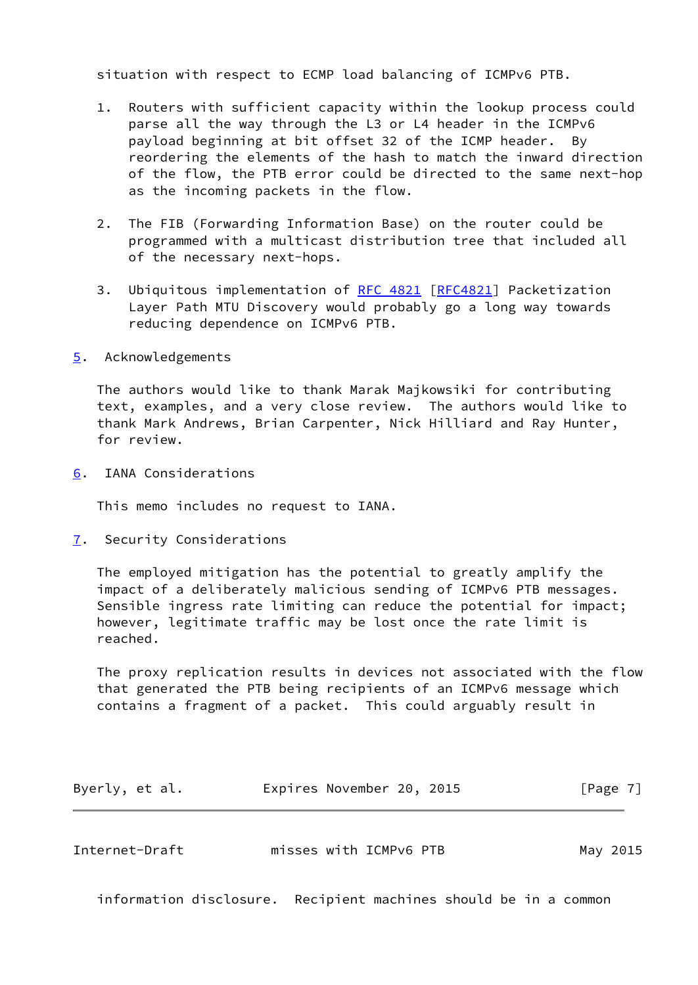situation with respect to ECMP load balancing of ICMPv6 PTB.

- 1. Routers with sufficient capacity within the lookup process could parse all the way through the L3 or L4 header in the ICMPv6 payload beginning at bit offset 32 of the ICMP header. By reordering the elements of the hash to match the inward direction of the flow, the PTB error could be directed to the same next-hop as the incoming packets in the flow.
- 2. The FIB (Forwarding Information Base) on the router could be programmed with a multicast distribution tree that included all of the necessary next-hops.
- 3. Ubiquitous implementation of [RFC 4821](https://datatracker.ietf.org/doc/pdf/rfc4821) [[RFC4821](https://datatracker.ietf.org/doc/pdf/rfc4821)] Packetization Layer Path MTU Discovery would probably go a long way towards reducing dependence on ICMPv6 PTB.
- <span id="page-7-0"></span>[5](#page-7-0). Acknowledgements

 The authors would like to thank Marak Majkowsiki for contributing text, examples, and a very close review. The authors would like to thank Mark Andrews, Brian Carpenter, Nick Hilliard and Ray Hunter, for review.

<span id="page-7-1"></span>[6](#page-7-1). IANA Considerations

This memo includes no request to IANA.

<span id="page-7-2"></span>[7](#page-7-2). Security Considerations

 The employed mitigation has the potential to greatly amplify the impact of a deliberately malicious sending of ICMPv6 PTB messages. Sensible ingress rate limiting can reduce the potential for impact; however, legitimate traffic may be lost once the rate limit is reached.

 The proxy replication results in devices not associated with the flow that generated the PTB being recipients of an ICMPv6 message which contains a fragment of a packet. This could arguably result in

| Byerly, et al. | Expires November 20, 2015 |  | [Page 7] |
|----------------|---------------------------|--|----------|
|----------------|---------------------------|--|----------|

<span id="page-7-3"></span>

| Internet-Draft | misses with ICMPv6 PTB | May 2015 |
|----------------|------------------------|----------|
|----------------|------------------------|----------|

information disclosure. Recipient machines should be in a common